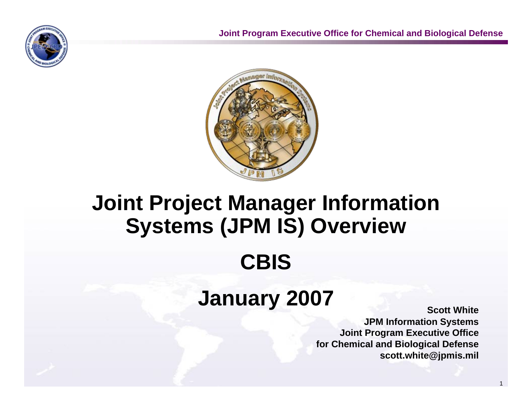



# **Joint Project Manager Information Systems (JPM IS) Overview CBIS**

# **January 2007**

**Scott White JPM Information Systems Joint Program Executive Office for Chemical and Biological Defense scott.white@jpmis.mil**

1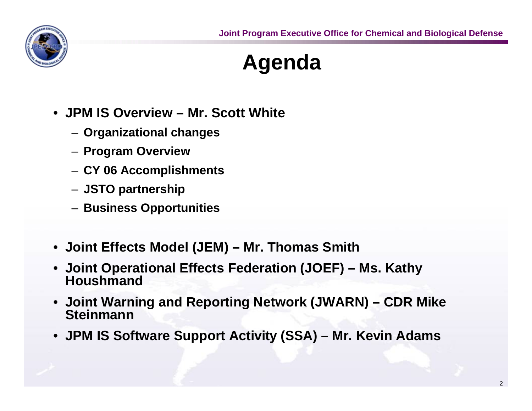

# **Agenda**

- **JPM IS Overview Mr. Scott White**
	- **Organizational changes**
	- **Program Overview**
	- **CY 06 Accomplishments**
	- **JSTO partnership**
	- **Business Opportunities**
- **Joint Effects Model (JEM) Mr. Thomas Smith**
- **Joint Operational Effects Federation (JOEF) Ms. Kathy Houshmand**
- **Joint Warning and Reporting Network (JWARN) CDR Mike Steinmann**
- **JPM IS Software Support Activity (SSA) Mr. Kevin Adams**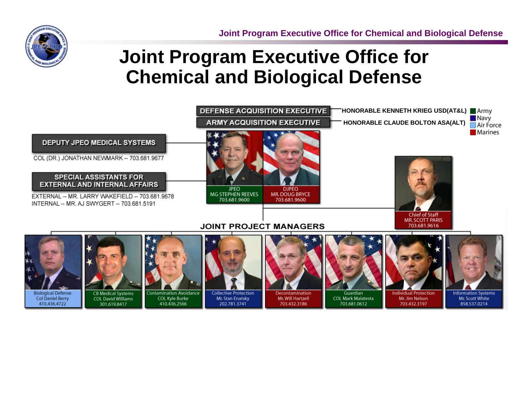**Joint Program Executive Office for Chemical and Biological Defense**

### **Joint Program Executive Office for Chemical and Biological Defense**

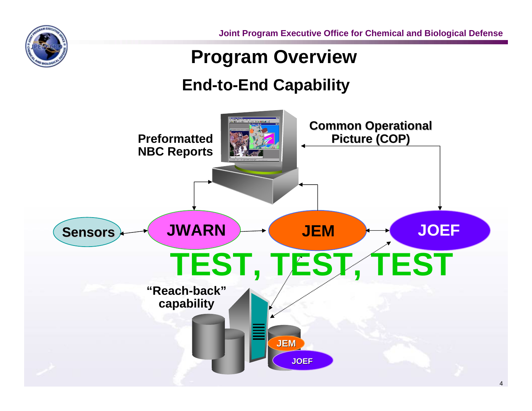

**Joint Program Executive Office for Chemical and Biological Defense**

#### **Program Overview**

#### **End-to-End Capability**

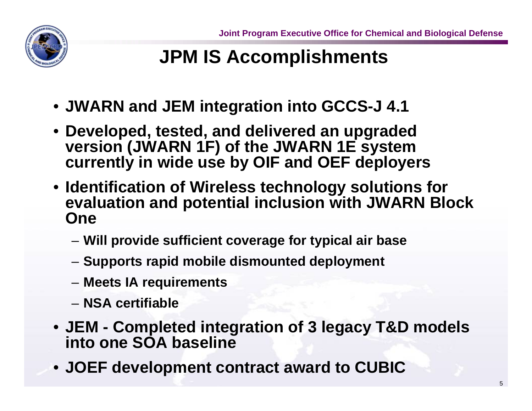

# **JPM IS Accomplishments**

- **JWARN and JEM integration into GCCS-J 4.1**
- **Developed, tested, and delivered an upgraded version (JWARN 1F) of the JWARN 1E system currently in wide use by OIF and OEF deployers**
- **Identification of Wireless technology solutions for evaluation and potential inclusion with JWARN Block One**
	- **Will provide sufficient coverage for typical air base**
	- **Supports rapid mobile dismounted deployment**
	- **Meets IA requirements**
	- **NSA certifiable**
- **JEM Completed integration of 3 legacy T&D models into one SOA baseline**
- **JOEF development contract award to CUBIC**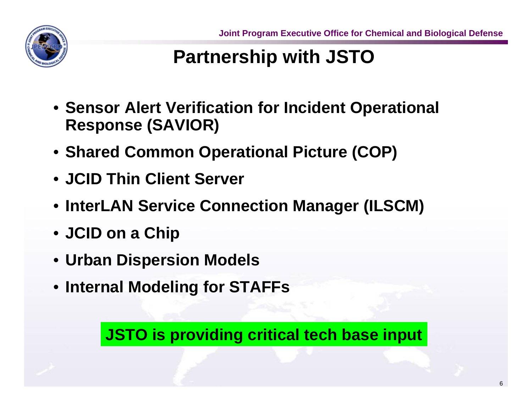

# **Partnership with JSTO**

- **Sensor Alert Verification for Incident Operational Response (SAVIOR)**
- **Shared Common Operational Picture (COP)**
- **JCID Thin Client Server**
- **InterLAN Service Connection Manager (ILSCM)**
- **JCID on a Chip**
- **Urban Dispersion Models**
- **Internal Modeling for STAFFs**

**JSTO is providing critical tech base input**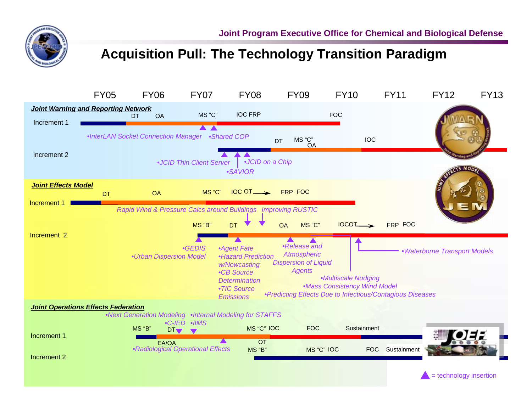

#### **Acquisition Pull: The Technology Transition Paradigm**



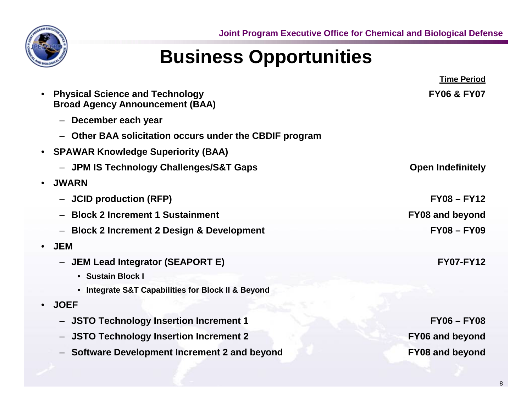## **Business Opportunities**

|           |                                                                                  | <b>Time Period</b>       |
|-----------|----------------------------------------------------------------------------------|--------------------------|
|           | <b>Physical Science and Technology</b><br><b>Broad Agency Announcement (BAA)</b> | <b>FY06 &amp; FY07</b>   |
|           | December each year<br>$\overline{\phantom{m}}$                                   |                          |
|           | Other BAA solicitation occurs under the CBDIF program                            |                          |
| $\bullet$ | <b>SPAWAR Knowledge Superiority (BAA)</b>                                        |                          |
|           | - JPM IS Technology Challenges/S&T Gaps                                          | <b>Open Indefinitely</b> |
|           | <b>JWARN</b>                                                                     |                          |
|           | <b>JCID production (RFP)</b>                                                     | $FY08 - FY12$            |
|           | <b>Block 2 Increment 1 Sustainment</b>                                           | <b>FY08 and beyond</b>   |
|           | <b>Block 2 Increment 2 Design &amp; Development</b>                              | $FY08 - FY09$            |
|           | <b>JEM</b>                                                                       |                          |
|           | <b>JEM Lead Integrator (SEAPORT E)</b><br>$\overline{\phantom{m}}$               | <b>FY07-FY12</b>         |
|           | • Sustain Block I                                                                |                          |
|           | • Integrate S&T Capabilities for Block II & Beyond                               |                          |
|           | <b>JOEF</b>                                                                      |                          |
|           | <b>JSTO Technology Insertion Increment 1</b>                                     | $FY06 - FY08$            |
|           | <b>JSTO Technology Insertion Increment 2</b><br>$\overline{\phantom{m}}$         | <b>FY06 and beyond</b>   |
|           | Software Development Increment 2 and beyond                                      | <b>FY08 and beyond</b>   |
|           |                                                                                  |                          |